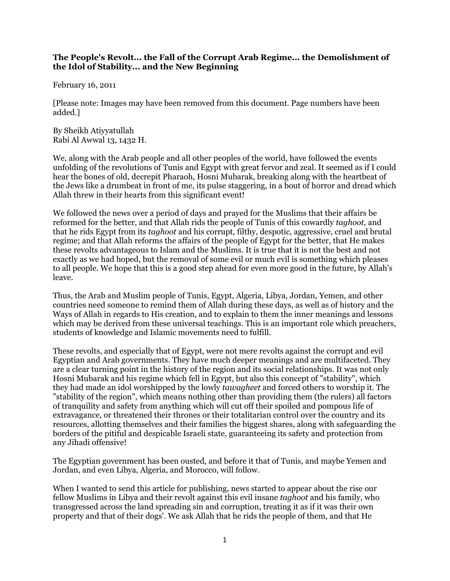## **The People's Revolt... the Fall of the Corrupt Arab Regime... the Demolishment of the Idol of Stability... and the New Beginning**

February 16, 2011

[Please note: Images may have been removed from this document. Page numbers have been added.]

By Sheikh Atiyyatullah Rabi Al Awwal 13, 1432 H.

We, along with the Arab people and all other peoples of the world, have followed the events unfolding of the revolutions of Tunis and Egypt with great fervor and zeal. It seemed as if I could hear the bones of old, decrepit Pharaoh, Hosni Mubarak, breaking along with the heartbeat of the Jews like a drumbeat in front of me, its pulse staggering, in a bout of horror and dread which Allah threw in their hearts from this significant event!

We followed the news over a period of days and prayed for the Muslims that their affairs be reformed for the better, and that Allah rids the people of Tunis of this cowardly *taghoot,* and that he rids Egypt from its *taghoot* and his corrupt, filthy, despotic, aggressive, cruel and brutal regime; and that Allah reforms the affairs of the people of Egypt for the better, that He makes these revolts advantageous to Islam and the Muslims. It is true that it is not the best and not exactly as we had hoped, but the removal of some evil or much evil is something which pleases to all people. We hope that this is a good step ahead for even more good in the future, by Allah's leave.

Thus, the Arab and Muslim people of Tunis, Egypt, Algeria, Libya, Jordan, Yemen, and other countries need someone to remind them of Allah during these days, as well as of history and the Ways of Allah in regards to His creation, and to explain to them the inner meanings and lessons which may be derived from these universal teachings. This is an important role which preachers, students of knowledge and Islamic movements need to fulfill.

These revolts, and especially that of Egypt, were not mere revolts against the corrupt and evil Egyptian and Arab governments. They have much deeper meanings and are multifaceted. They are a clear turning point in the history of the region and its social relationships. It was not only Hosni Mubarak and his regime which fell in Egypt, but also this concept of "stability", which they had made an idol worshipped by the lowly *tawagheet* and forced others to worship it. The "stability of the region", which means nothing other than providing them (the rulers) all factors of tranquility and safety from anything which will cut off their spoiled and pompous life of extravagance, or threatened their thrones or their totalitarian control over the country and its resources, allotting themselves and their families the biggest shares, along with safeguarding the borders of the pitiful and despicable Israeli state, guaranteeing its safety and protection from any Jihadi offensive!

The Egyptian government has been ousted, and before it that of Tunis, and maybe Yemen and Jordan, and even Libya, Algeria, and Morocco, will follow.

When I wanted to send this article for publishing, news started to appear about the rise our fellow Muslims in Libya and their revolt against this evil insane *taghoot* and his family, who transgressed across the land spreading sin and corruption, treating it as if it was their own property and that of their dogs'. We ask Allah that he rids the people of them, and that He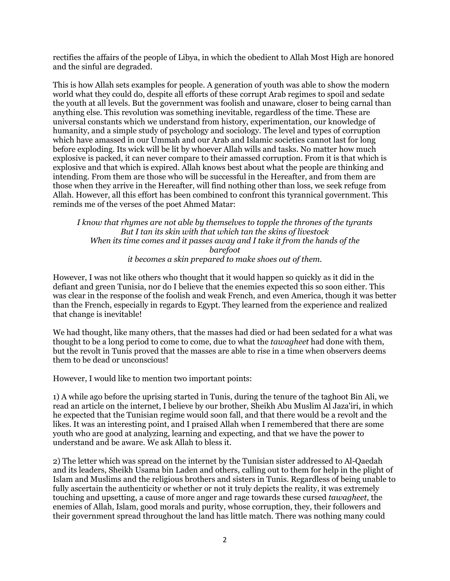rectifies the affairs of the people of Libya, in which the obedient to Allah Most High are honored and the sinful are degraded.

This is how Allah sets examples for people. A generation of youth was able to show the modern world what they could do, despite all efforts of these corrupt Arab regimes to spoil and sedate the youth at all levels. But the government was foolish and unaware, closer to being carnal than anything else. This revolution was something inevitable, regardless of the time. These are universal constants which we understand from history, experimentation, our knowledge of humanity, and a simple study of psychology and sociology. The level and types of corruption which have amassed in our Ummah and our Arab and Islamic societies cannot last for long before exploding. Its wick will be lit by whoever Allah wills and tasks. No matter how much explosive is packed, it can never compare to their amassed corruption. From it is that which is explosive and that which is expired. Allah knows best about what the people are thinking and intending. From them are those who will be successful in the Hereafter, and from them are those when they arrive in the Hereafter, will find nothing other than loss, we seek refuge from Allah. However, all this effort has been combined to confront this tyrannical government. This reminds me of the verses of the poet Ahmed Matar:

*I know that rhymes are not able by themselves to topple the thrones of the tyrants But I tan its skin with that which tan the skins of livestock When its time comes and it passes away and I take it from the hands of the barefoot it becomes a skin prepared to make shoes out of them.*

However, I was not like others who thought that it would happen so quickly as it did in the defiant and green Tunisia, nor do I believe that the enemies expected this so soon either. This was clear in the response of the foolish and weak French, and even America, though it was better than the French, especially in regards to Egypt. They learned from the experience and realized that change is inevitable!

We had thought, like many others, that the masses had died or had been sedated for a what was thought to be a long period to come to come, due to what the *tawagheet* had done with them, but the revolt in Tunis proved that the masses are able to rise in a time when observers deems them to be dead or unconscious!

However, I would like to mention two important points:

1) A while ago before the uprising started in Tunis, during the tenure of the taghoot Bin Ali, we read an article on the internet, I believe by our brother, Sheikh Abu Muslim Al Jaza'iri, in which he expected that the Tunisian regime would soon fall, and that there would be a revolt and the likes. It was an interesting point, and I praised Allah when I remembered that there are some youth who are good at analyzing, learning and expecting, and that we have the power to understand and be aware. We ask Allah to bless it.

2) The letter which was spread on the internet by the Tunisian sister addressed to Al-Qaedah and its leaders, Sheikh Usama bin Laden and others, calling out to them for help in the plight of Islam and Muslims and the religious brothers and sisters in Tunis. Regardless of being unable to fully ascertain the authenticity or whether or not it truly depicts the reality, it was extremely touching and upsetting, a cause of more anger and rage towards these cursed *tawagheet,* the enemies of Allah, Islam, good morals and purity, whose corruption, they, their followers and their government spread throughout the land has little match. There was nothing many could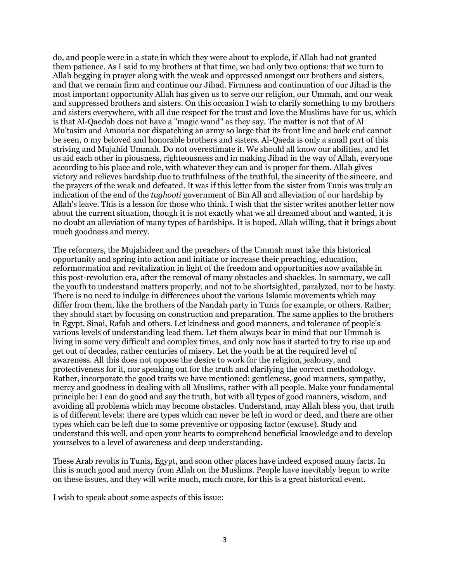do, and people were in a state in which they were about to explode, if Allah had not granted them patience. As I said to my brothers at that time, we had only two options: that we turn to Allah begging in prayer along with the weak and oppressed amongst our brothers and sisters, and that we remain firm and continue our Jihad. Firmness and continuation of our Jihad is the most important opportunity Allah has given us to serve our religion, our Ummah, and our weak and suppressed brothers and sisters. On this occasion I wish to clarify something to my brothers and sisters everywhere, with all due respect for the trust and love the Muslims have for us, which is that Al-Qaedah does not have a "magic wand" as they say. The matter is not that of Al Mu'tasim and Amouria nor dispatching an army so large that its front line and back end cannot be seen, 0 my beloved and honorable brothers and sisters. Al-Qaeda is only a small part of this striving and Mujahid Ummah. Do not overestimate it. We should all know our abilities, and let us aid each other in piousness, righteousness and in making Jihad in the way of Allah, everyone according to his place and role, with whatever they can and is proper for them. Allah gives victory and relieves hardship due to truthfulness of the truthful, the sincerity of the sincere, and the prayers of the weak and defeated. It was if this letter from the sister from Tunis was truly an indication of the end of the *taghooti* government of Bin All and alleviation of our hardship by Allah's leave. This is a lesson for those who think. I wish that the sister writes another letter now about the current situation, though it is not exactly what we all dreamed about and wanted, it is no doubt an alleviation of many types of hardships. It is hoped, Allah willing, that it brings about much goodness and mercy.

The reformers, the Mujahideen and the preachers of the Ummah must take this historical opportunity and spring into action and initiate or increase their preaching, education, reformormation and revitalization in light of the freedom and opportunities now available in this post-revolution era, after the removal of many obstacles and shackles. In summary, we call the youth to understand matters properly, and not to be shortsighted, paralyzed, nor to be hasty. There is no need to indulge in differences about the various Islamic movements which may differ from them, like the brothers of the Nandah party in Tunis for example, or others. Rather, they should start by focusing on construction and preparation. The same applies to the brothers in Egypt, Sinai, Rafah and others. Let kindness and good manners, and tolerance of people's various levels of understanding lead them. Let them always bear in mind that our Ummah is living in some very difficult and complex times, and only now has it started to try to rise up and get out of decades, rather centuries of misery. Let the youth be at the required level of awareness. All this does not oppose the desire to work for the religion, jealousy, and protectiveness for it, nor speaking out for the truth and clarifying the correct methodology. Rather, incorporate the good traits we have mentioned: gentleness, good manners, sympathy, mercy and goodness in dealing with all Muslims, rather with all people. Make your fundamental principle be: I can do good and say the truth, but with all types of good manners, wisdom, and avoiding all problems which may become obstacles. Understand, may Allah bless you, that truth is of different levels: there are types which can never be left in word or deed, and there are other types which can be left due to some preventive or opposing factor (excuse). Study and understand this well, and open your hearts to comprehend beneficial knowledge and to develop yourselves to a level of awareness and deep understanding.

These Arab revolts in Tunis, Egypt, and soon other places have indeed exposed many facts. In this is much good and mercy from Allah on the Muslims. People have inevitably begun to write on these issues, and they will write much, much more, for this is a great historical event.

I wish to speak about some aspects of this issue: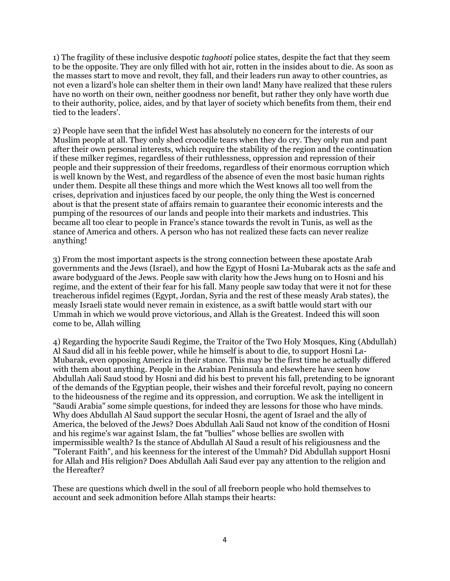1) The fragility of these inclusive despotic *taghooti* police states, despite the fact that they seem to be the opposite. They are only filled with hot air, rotten in the insides about to die. As soon as the masses start to move and revolt, they fall, and their leaders run away to other countries, as not even a lizard's hole can shelter them in their own land! Many have realized that these rulers have no worth on their own, neither goodness nor benefit, but rather they only have worth due to their authority, police, aides, and by that layer of society which benefits from them, their end tied to the leaders'.

2) People have seen that the infidel West has absolutely no concern for the interests of our Muslim people at all. They only shed crocodile tears when they do cry. They only run and pant after their own personal interests, which require the stability of the region and the continuation if these milker regimes, regardless of their ruthlessness, oppression and repression of their people and their suppression of their freedoms, regardless of their enormous corruption which is well known by the West, and regardless of the absence of even the most basic human rights under them. Despite all these things and more which the West knows all too well from the crises, deprivation and injustices faced by our people, the only thing the West is concerned about is that the present state of affairs remain to guarantee their economic interests and the pumping of the resources of our lands and people into their markets and industries. This became all too clear to people in France's stance towards the revolt in Tunis, as well as the stance of America and others. A person who has not realized these facts can never realize anything!

3) From the most important aspects is the strong connection between these apostate Arab governments and the Jews (Israel), and how the Egypt of Hosni La-Mubarak acts as the safe and aware bodyguard of the Jews. People saw with clarity how the Jews hung on to Hosni and his regime, and the extent of their fear for his fall. Many people saw today that were it not for these treacherous infidel regimes (Egypt, Jordan, Syria and the rest of these measly Arab states), the measly Israeli state would never remain in existence, as a swift battle would start with our Ummah in which we would prove victorious, and Allah is the Greatest. Indeed this will soon come to be, Allah willing

4) Regarding the hypocrite Saudi Regime, the Traitor of the Two Holy Mosques, King (Abdullah) Al Saud did all in his feeble power, while he himself is about to die, to support Hosni La-Mubarak, even opposing America in their stance. This may be the first time he actually differed with them about anything. People in the Arabian Peninsula and elsewhere have seen how Abdullah Aali Saud stood by Hosni and did his best to prevent his fall, pretending to be ignorant of the demands of the Egyptian people, their wishes and their forceful revolt, paying no concern to the hideousness of the regime and its oppression, and corruption. We ask the intelligent in "Saudi Arabia" some simple questions, for indeed they are lessons for those who have minds. Why does Abdullah Al Saud support the secular Hosni, the agent of Israel and the ally of America, the beloved of the Jews? Does Abdullah Aali Saud not know of the condition of Hosni and his regime's war against Islam, the fat "bullies" whose bellies are swollen with impermissible wealth? Is the stance of Abdullah Al Saud a result of his religiousness and the "Tolerant Faith", and his keenness for the interest of the Ummah? Did Abdullah support Hosni for Allah and His religion? Does Abdullah Aali Saud ever pay any attention to the religion and the Hereafter?

These are questions which dwell in the soul of all freeborn people who hold themselves to account and seek admonition before Allah stamps their hearts: